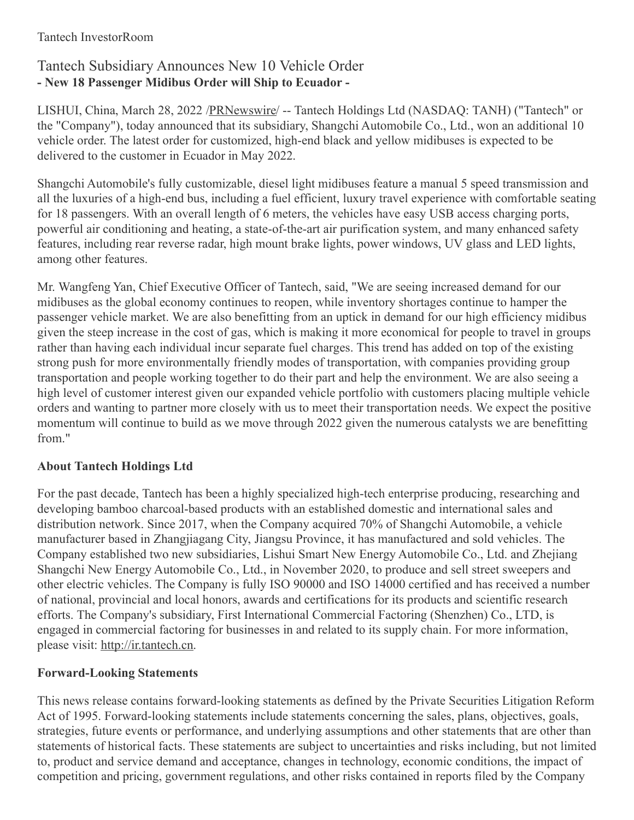## Tantech InvestorRoom

## Tantech Subsidiary Announces New 10 Vehicle Order **- New 18 Passenger Midibus Order will Ship to Ecuador -**

LISHUI, China, March 28, 2022 [/PRNewswire](http://www.prnewswire.com/)/ -- Tantech Holdings Ltd (NASDAQ: TANH) ("Tantech" or the "Company"), today announced that its subsidiary, Shangchi Automobile Co., Ltd., won an additional 10 vehicle order. The latest order for customized, high-end black and yellow midibuses is expected to be delivered to the customer in Ecuador in May 2022.

Shangchi Automobile's fully customizable, diesel light midibuses feature a manual 5 speed transmission and all the luxuries of a high-end bus, including a fuel efficient, luxury travel experience with comfortable seating for 18 passengers. With an overall length of 6 meters, the vehicles have easy USB access charging ports, powerful air conditioning and heating, a state-of-the-art air purification system, and many enhanced safety features, including rear reverse radar, high mount brake lights, power windows, UV glass and LED lights, among other features.

Mr. Wangfeng Yan, Chief Executive Officer of Tantech, said, "We are seeing increased demand for our midibuses as the global economy continues to reopen, while inventory shortages continue to hamper the passenger vehicle market. We are also benefitting from an uptick in demand for our high efficiency midibus given the steep increase in the cost of gas, which is making it more economical for people to travel in groups rather than having each individual incur separate fuel charges. This trend has added on top of the existing strong push for more environmentally friendly modes of transportation, with companies providing group transportation and people working together to do their part and help the environment. We are also seeing a high level of customer interest given our expanded vehicle portfolio with customers placing multiple vehicle orders and wanting to partner more closely with us to meet their transportation needs. We expect the positive momentum will continue to build as we move through 2022 given the numerous catalysts we are benefitting from."

## **About Tantech Holdings Ltd**

For the past decade, Tantech has been a highly specialized high-tech enterprise producing, researching and developing bamboo charcoal-based products with an established domestic and international sales and distribution network. Since 2017, when the Company acquired 70% of Shangchi Automobile, a vehicle manufacturer based in Zhangjiagang City, Jiangsu Province, it has manufactured and sold vehicles. The Company established two new subsidiaries, Lishui Smart New Energy Automobile Co., Ltd. and Zhejiang Shangchi New Energy Automobile Co., Ltd., in November 2020, to produce and sell street sweepers and other electric vehicles. The Company is fully ISO 90000 and ISO 14000 certified and has received a number of national, provincial and local honors, awards and certifications for its products and scientific research efforts. The Company's subsidiary, First International Commercial Factoring (Shenzhen) Co., LTD, is engaged in commercial factoring for businesses in and related to its supply chain. For more information, please visit: [http://ir.tantech.cn](http://ir.tantech.cn/).

## **Forward-Looking Statements**

This news release contains forward-looking statements as defined by the Private Securities Litigation Reform Act of 1995. Forward-looking statements include statements concerning the sales, plans, objectives, goals, strategies, future events or performance, and underlying assumptions and other statements that are other than statements of historical facts. These statements are subject to uncertainties and risks including, but not limited to, product and service demand and acceptance, changes in technology, economic conditions, the impact of competition and pricing, government regulations, and other risks contained in reports filed by the Company